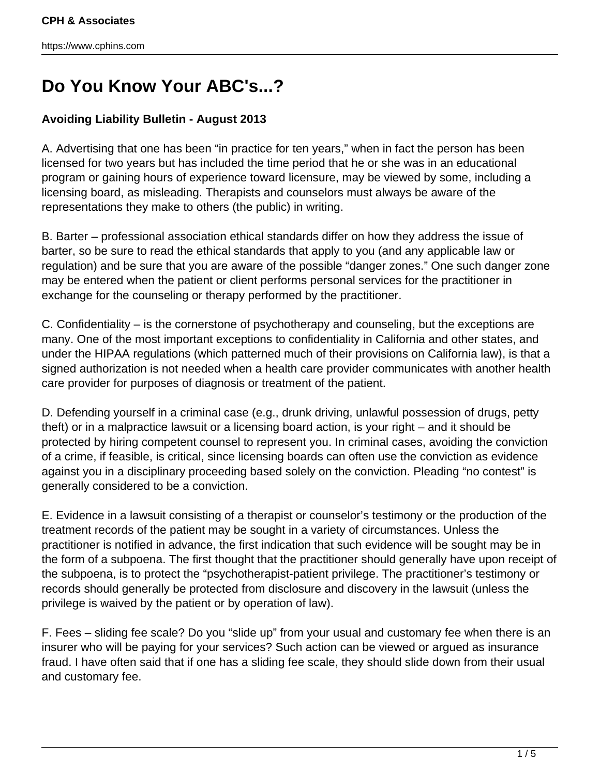## **Do You Know Your ABC's...?**

## **Avoiding Liability Bulletin - August 2013**

A. Advertising that one has been "in practice for ten years," when in fact the person has been licensed for two years but has included the time period that he or she was in an educational program or gaining hours of experience toward licensure, may be viewed by some, including a licensing board, as misleading. Therapists and counselors must always be aware of the representations they make to others (the public) in writing.

B. Barter – professional association ethical standards differ on how they address the issue of barter, so be sure to read the ethical standards that apply to you (and any applicable law or regulation) and be sure that you are aware of the possible "danger zones." One such danger zone may be entered when the patient or client performs personal services for the practitioner in exchange for the counseling or therapy performed by the practitioner.

C. Confidentiality – is the cornerstone of psychotherapy and counseling, but the exceptions are many. One of the most important exceptions to confidentiality in California and other states, and under the HIPAA regulations (which patterned much of their provisions on California law), is that a signed authorization is not needed when a health care provider communicates with another health care provider for purposes of diagnosis or treatment of the patient.

D. Defending yourself in a criminal case (e.g., drunk driving, unlawful possession of drugs, petty theft) or in a malpractice lawsuit or a licensing board action, is your right – and it should be protected by hiring competent counsel to represent you. In criminal cases, avoiding the conviction of a crime, if feasible, is critical, since licensing boards can often use the conviction as evidence against you in a disciplinary proceeding based solely on the conviction. Pleading "no contest" is generally considered to be a conviction.

E. Evidence in a lawsuit consisting of a therapist or counselor's testimony or the production of the treatment records of the patient may be sought in a variety of circumstances. Unless the practitioner is notified in advance, the first indication that such evidence will be sought may be in the form of a subpoena. The first thought that the practitioner should generally have upon receipt of the subpoena, is to protect the "psychotherapist-patient privilege. The practitioner's testimony or records should generally be protected from disclosure and discovery in the lawsuit (unless the privilege is waived by the patient or by operation of law).

F. Fees – sliding fee scale? Do you "slide up" from your usual and customary fee when there is an insurer who will be paying for your services? Such action can be viewed or argued as insurance fraud. I have often said that if one has a sliding fee scale, they should slide down from their usual and customary fee.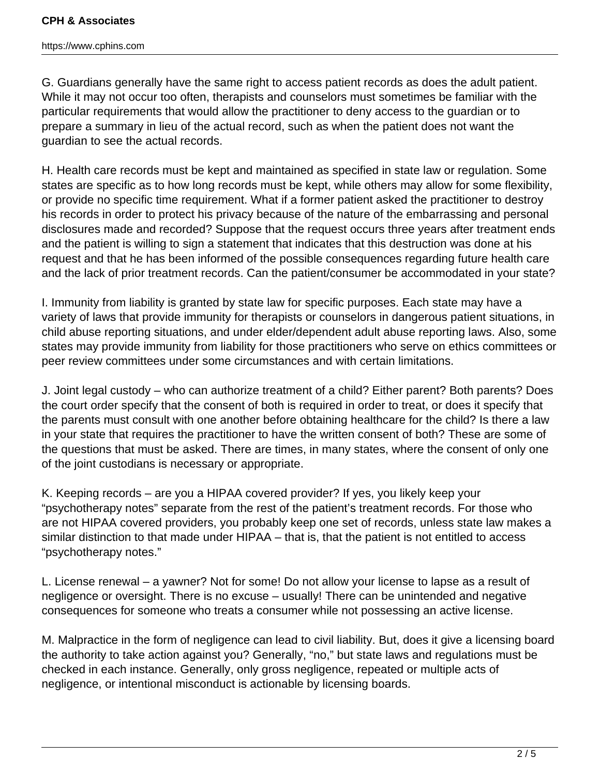## **CPH & Associates**

https://www.cphins.com

G. Guardians generally have the same right to access patient records as does the adult patient. While it may not occur too often, therapists and counselors must sometimes be familiar with the particular requirements that would allow the practitioner to deny access to the guardian or to prepare a summary in lieu of the actual record, such as when the patient does not want the guardian to see the actual records.

H. Health care records must be kept and maintained as specified in state law or regulation. Some states are specific as to how long records must be kept, while others may allow for some flexibility, or provide no specific time requirement. What if a former patient asked the practitioner to destroy his records in order to protect his privacy because of the nature of the embarrassing and personal disclosures made and recorded? Suppose that the request occurs three years after treatment ends and the patient is willing to sign a statement that indicates that this destruction was done at his request and that he has been informed of the possible consequences regarding future health care and the lack of prior treatment records. Can the patient/consumer be accommodated in your state?

I. Immunity from liability is granted by state law for specific purposes. Each state may have a variety of laws that provide immunity for therapists or counselors in dangerous patient situations, in child abuse reporting situations, and under elder/dependent adult abuse reporting laws. Also, some states may provide immunity from liability for those practitioners who serve on ethics committees or peer review committees under some circumstances and with certain limitations.

J. Joint legal custody – who can authorize treatment of a child? Either parent? Both parents? Does the court order specify that the consent of both is required in order to treat, or does it specify that the parents must consult with one another before obtaining healthcare for the child? Is there a law in your state that requires the practitioner to have the written consent of both? These are some of the questions that must be asked. There are times, in many states, where the consent of only one of the joint custodians is necessary or appropriate.

K. Keeping records – are you a HIPAA covered provider? If yes, you likely keep your "psychotherapy notes" separate from the rest of the patient's treatment records. For those who are not HIPAA covered providers, you probably keep one set of records, unless state law makes a similar distinction to that made under HIPAA – that is, that the patient is not entitled to access "psychotherapy notes."

L. License renewal – a yawner? Not for some! Do not allow your license to lapse as a result of negligence or oversight. There is no excuse – usually! There can be unintended and negative consequences for someone who treats a consumer while not possessing an active license.

M. Malpractice in the form of negligence can lead to civil liability. But, does it give a licensing board the authority to take action against you? Generally, "no," but state laws and regulations must be checked in each instance. Generally, only gross negligence, repeated or multiple acts of negligence, or intentional misconduct is actionable by licensing boards.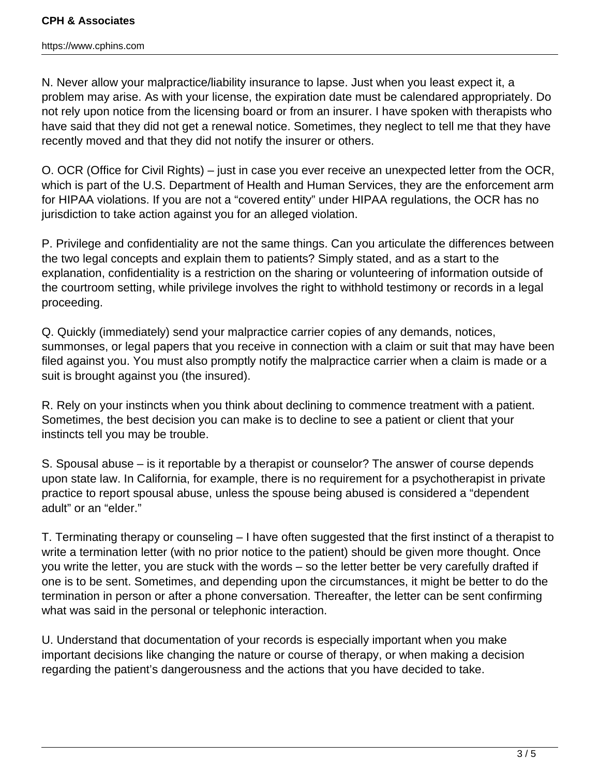https://www.cphins.com

N. Never allow your malpractice/liability insurance to lapse. Just when you least expect it, a problem may arise. As with your license, the expiration date must be calendared appropriately. Do not rely upon notice from the licensing board or from an insurer. I have spoken with therapists who have said that they did not get a renewal notice. Sometimes, they neglect to tell me that they have recently moved and that they did not notify the insurer or others.

O. OCR (Office for Civil Rights) – just in case you ever receive an unexpected letter from the OCR, which is part of the U.S. Department of Health and Human Services, they are the enforcement arm for HIPAA violations. If you are not a "covered entity" under HIPAA regulations, the OCR has no jurisdiction to take action against you for an alleged violation.

P. Privilege and confidentiality are not the same things. Can you articulate the differences between the two legal concepts and explain them to patients? Simply stated, and as a start to the explanation, confidentiality is a restriction on the sharing or volunteering of information outside of the courtroom setting, while privilege involves the right to withhold testimony or records in a legal proceeding.

Q. Quickly (immediately) send your malpractice carrier copies of any demands, notices, summonses, or legal papers that you receive in connection with a claim or suit that may have been filed against you. You must also promptly notify the malpractice carrier when a claim is made or a suit is brought against you (the insured).

R. Rely on your instincts when you think about declining to commence treatment with a patient. Sometimes, the best decision you can make is to decline to see a patient or client that your instincts tell you may be trouble.

S. Spousal abuse – is it reportable by a therapist or counselor? The answer of course depends upon state law. In California, for example, there is no requirement for a psychotherapist in private practice to report spousal abuse, unless the spouse being abused is considered a "dependent adult" or an "elder."

T. Terminating therapy or counseling – I have often suggested that the first instinct of a therapist to write a termination letter (with no prior notice to the patient) should be given more thought. Once you write the letter, you are stuck with the words – so the letter better be very carefully drafted if one is to be sent. Sometimes, and depending upon the circumstances, it might be better to do the termination in person or after a phone conversation. Thereafter, the letter can be sent confirming what was said in the personal or telephonic interaction.

U. Understand that documentation of your records is especially important when you make important decisions like changing the nature or course of therapy, or when making a decision regarding the patient's dangerousness and the actions that you have decided to take.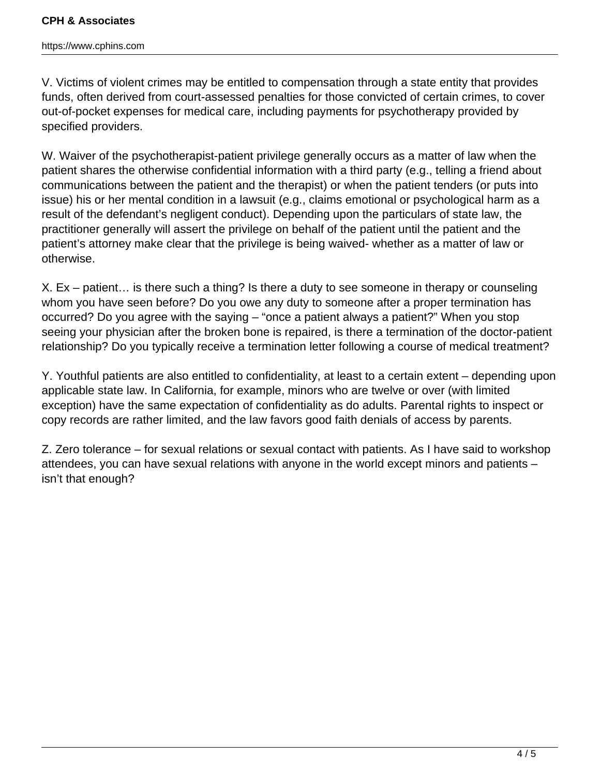## **CPH & Associates**

https://www.cphins.com

V. Victims of violent crimes may be entitled to compensation through a state entity that provides funds, often derived from court-assessed penalties for those convicted of certain crimes, to cover out-of-pocket expenses for medical care, including payments for psychotherapy provided by specified providers.

W. Waiver of the psychotherapist-patient privilege generally occurs as a matter of law when the patient shares the otherwise confidential information with a third party (e.g., telling a friend about communications between the patient and the therapist) or when the patient tenders (or puts into issue) his or her mental condition in a lawsuit (e.g., claims emotional or psychological harm as a result of the defendant's negligent conduct). Depending upon the particulars of state law, the practitioner generally will assert the privilege on behalf of the patient until the patient and the patient's attorney make clear that the privilege is being waived- whether as a matter of law or otherwise.

X. Ex – patient… is there such a thing? Is there a duty to see someone in therapy or counseling whom you have seen before? Do you owe any duty to someone after a proper termination has occurred? Do you agree with the saying – "once a patient always a patient?" When you stop seeing your physician after the broken bone is repaired, is there a termination of the doctor-patient relationship? Do you typically receive a termination letter following a course of medical treatment?

Y. Youthful patients are also entitled to confidentiality, at least to a certain extent – depending upon applicable state law. In California, for example, minors who are twelve or over (with limited exception) have the same expectation of confidentiality as do adults. Parental rights to inspect or copy records are rather limited, and the law favors good faith denials of access by parents.

Z. Zero tolerance – for sexual relations or sexual contact with patients. As I have said to workshop attendees, you can have sexual relations with anyone in the world except minors and patients – isn't that enough?